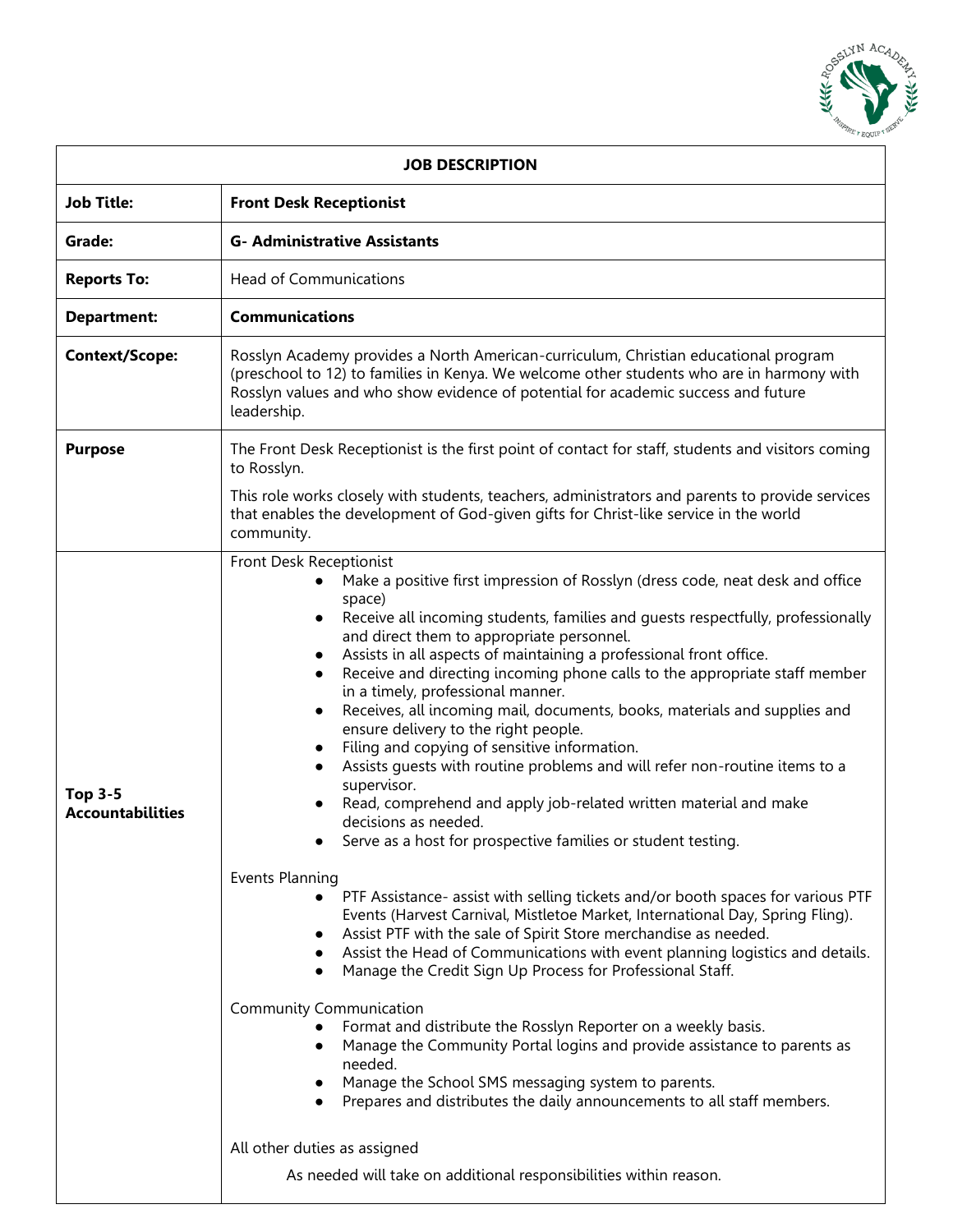

| <b>JOB DESCRIPTION</b>                    |                                                                                                                                                                                                                                                                                                                                                                                                                                                                                                                                                                                                                                                                                                                                                                                                                                                                                                                                                                                                                                                                                                                                                                                                                                                                                                                                                                                                                                                                                                                                                                                                                                                                     |
|-------------------------------------------|---------------------------------------------------------------------------------------------------------------------------------------------------------------------------------------------------------------------------------------------------------------------------------------------------------------------------------------------------------------------------------------------------------------------------------------------------------------------------------------------------------------------------------------------------------------------------------------------------------------------------------------------------------------------------------------------------------------------------------------------------------------------------------------------------------------------------------------------------------------------------------------------------------------------------------------------------------------------------------------------------------------------------------------------------------------------------------------------------------------------------------------------------------------------------------------------------------------------------------------------------------------------------------------------------------------------------------------------------------------------------------------------------------------------------------------------------------------------------------------------------------------------------------------------------------------------------------------------------------------------------------------------------------------------|
| <b>Job Title:</b>                         | <b>Front Desk Receptionist</b>                                                                                                                                                                                                                                                                                                                                                                                                                                                                                                                                                                                                                                                                                                                                                                                                                                                                                                                                                                                                                                                                                                                                                                                                                                                                                                                                                                                                                                                                                                                                                                                                                                      |
| Grade:                                    | <b>G- Administrative Assistants</b>                                                                                                                                                                                                                                                                                                                                                                                                                                                                                                                                                                                                                                                                                                                                                                                                                                                                                                                                                                                                                                                                                                                                                                                                                                                                                                                                                                                                                                                                                                                                                                                                                                 |
| <b>Reports To:</b>                        | <b>Head of Communications</b>                                                                                                                                                                                                                                                                                                                                                                                                                                                                                                                                                                                                                                                                                                                                                                                                                                                                                                                                                                                                                                                                                                                                                                                                                                                                                                                                                                                                                                                                                                                                                                                                                                       |
| <b>Department:</b>                        | <b>Communications</b>                                                                                                                                                                                                                                                                                                                                                                                                                                                                                                                                                                                                                                                                                                                                                                                                                                                                                                                                                                                                                                                                                                                                                                                                                                                                                                                                                                                                                                                                                                                                                                                                                                               |
| <b>Context/Scope:</b>                     | Rosslyn Academy provides a North American-curriculum, Christian educational program<br>(preschool to 12) to families in Kenya. We welcome other students who are in harmony with<br>Rosslyn values and who show evidence of potential for academic success and future<br>leadership.                                                                                                                                                                                                                                                                                                                                                                                                                                                                                                                                                                                                                                                                                                                                                                                                                                                                                                                                                                                                                                                                                                                                                                                                                                                                                                                                                                                |
| <b>Purpose</b>                            | The Front Desk Receptionist is the first point of contact for staff, students and visitors coming<br>to Rosslyn.                                                                                                                                                                                                                                                                                                                                                                                                                                                                                                                                                                                                                                                                                                                                                                                                                                                                                                                                                                                                                                                                                                                                                                                                                                                                                                                                                                                                                                                                                                                                                    |
|                                           | This role works closely with students, teachers, administrators and parents to provide services<br>that enables the development of God-given gifts for Christ-like service in the world<br>community.                                                                                                                                                                                                                                                                                                                                                                                                                                                                                                                                                                                                                                                                                                                                                                                                                                                                                                                                                                                                                                                                                                                                                                                                                                                                                                                                                                                                                                                               |
| <b>Top 3-5</b><br><b>Accountabilities</b> | Front Desk Receptionist<br>Make a positive first impression of Rosslyn (dress code, neat desk and office<br>space)<br>Receive all incoming students, families and guests respectfully, professionally<br>and direct them to appropriate personnel.<br>Assists in all aspects of maintaining a professional front office.<br>Receive and directing incoming phone calls to the appropriate staff member<br>in a timely, professional manner.<br>Receives, all incoming mail, documents, books, materials and supplies and<br>ensure delivery to the right people.<br>Filing and copying of sensitive information.<br>Assists quests with routine problems and will refer non-routine items to a<br>supervisor.<br>Read, comprehend and apply job-related written material and make<br>decisions as needed.<br>Serve as a host for prospective families or student testing.<br>Events Planning<br>PTF Assistance- assist with selling tickets and/or booth spaces for various PTF<br>Events (Harvest Carnival, Mistletoe Market, International Day, Spring Fling).<br>Assist PTF with the sale of Spirit Store merchandise as needed.<br>Assist the Head of Communications with event planning logistics and details.<br>Manage the Credit Sign Up Process for Professional Staff.<br><b>Community Communication</b><br>Format and distribute the Rosslyn Reporter on a weekly basis.<br>Manage the Community Portal logins and provide assistance to parents as<br>$\bullet$<br>needed.<br>Manage the School SMS messaging system to parents.<br>$\bullet$<br>Prepares and distributes the daily announcements to all staff members.<br>All other duties as assigned |
|                                           | As needed will take on additional responsibilities within reason.                                                                                                                                                                                                                                                                                                                                                                                                                                                                                                                                                                                                                                                                                                                                                                                                                                                                                                                                                                                                                                                                                                                                                                                                                                                                                                                                                                                                                                                                                                                                                                                                   |